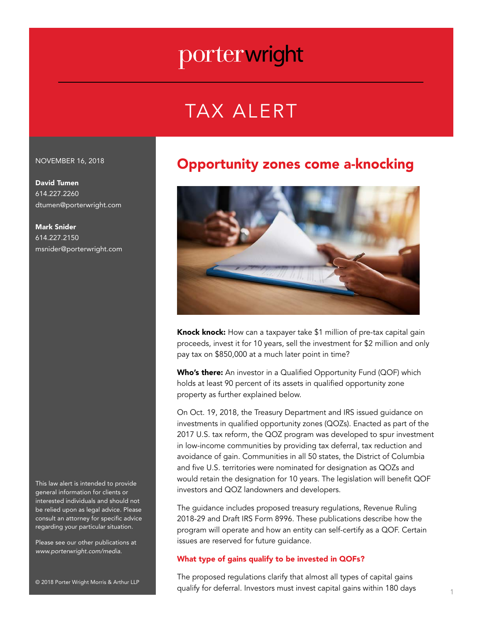# TAX ALERT

#### NOVEMBER 16, 2018

David Tumen 614.227.2260 dtumen@porterwright.com

Mark Snider 614.227.2150 msnider@porterwright.com

This law alert is intended to provide general information for clients or interested individuals and should not be relied upon as legal advice. Please consult an attorney for specific advice regarding your particular situation.

Please see our other publications at *www.porterwright.com/media.*

© 2018 Porter Wright Morris & Arthur LLP

### Opportunity zones come a-knocking



Knock knock: How can a taxpayer take \$1 million of pre-tax capital gain proceeds, invest it for 10 years, sell the investment for \$2 million and only pay tax on \$850,000 at a much later point in time?

Who's there: An investor in a Qualified Opportunity Fund (QOF) which holds at least 90 percent of its assets in qualified opportunity zone property as further explained below.

On Oct. 19, 2018, the Treasury Department and IRS issued guidance on investments in qualified opportunity zones (QOZs). Enacted as part of the 2017 U.S. tax reform, the QOZ program was developed to spur investment in low-income communities by providing tax deferral, tax reduction and avoidance of gain. Communities in all 50 states, the District of Columbia and five U.S. territories were nominated for designation as QOZs and would retain the designation for 10 years. The legislation will benefit QOF investors and QOZ landowners and developers.

The guidance includes proposed treasury regulations, Revenue Ruling 2018-29 and Draft IRS Form 8996. These publications describe how the program will operate and how an entity can self-certify as a QOF. Certain issues are reserved for future guidance.

#### What type of gains qualify to be invested in QOFs?

The proposed regulations clarify that almost all types of capital gains qualify for deferral. Investors must invest capital gains within 180 days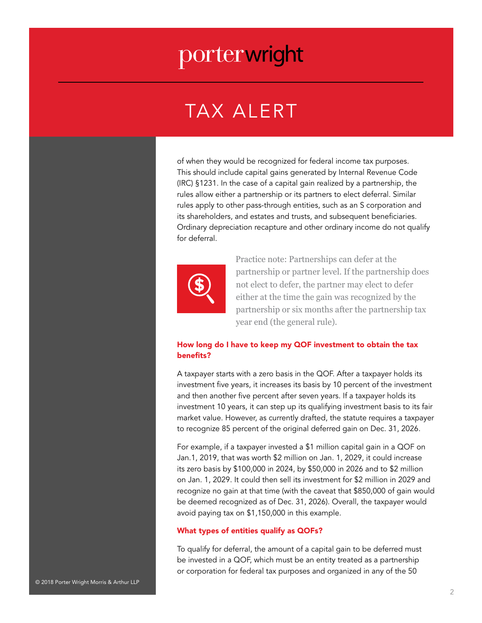### TAX ALERT

of when they would be recognized for federal income tax purposes. This should include capital gains generated by Internal Revenue Code (IRC) §1231. In the case of a capital gain realized by a partnership, the rules allow either a partnership or its partners to elect deferral. Similar rules apply to other pass-through entities, such as an S corporation and its shareholders, and estates and trusts, and subsequent beneficiaries. Ordinary depreciation recapture and other ordinary income do not qualify for deferral.



 Practice note: Partnerships can defer at the partnership or partner level. If the partnership does not elect to defer, the partner may elect to defer either at the time the gain was recognized by the partnership or six months after the partnership tax year end (the general rule).

#### How long do I have to keep my QOF investment to obtain the tax benefits?

A taxpayer starts with a zero basis in the QOF. After a taxpayer holds its investment five years, it increases its basis by 10 percent of the investment and then another five percent after seven years. If a taxpayer holds its investment 10 years, it can step up its qualifying investment basis to its fair market value. However, as currently drafted, the statute requires a taxpayer to recognize 85 percent of the original deferred gain on Dec. 31, 2026.

For example, if a taxpayer invested a \$1 million capital gain in a QOF on Jan.1, 2019, that was worth \$2 million on Jan. 1, 2029, it could increase its zero basis by \$100,000 in 2024, by \$50,000 in 2026 and to \$2 million on Jan. 1, 2029. It could then sell its investment for \$2 million in 2029 and recognize no gain at that time (with the caveat that \$850,000 of gain would be deemed recognized as of Dec. 31, 2026). Overall, the taxpayer would avoid paying tax on \$1,150,000 in this example.

#### What types of entities qualify as QOFs?

To qualify for deferral, the amount of a capital gain to be deferred must be invested in a QOF, which must be an entity treated as a partnership or corporation for federal tax purposes and organized in any of the 50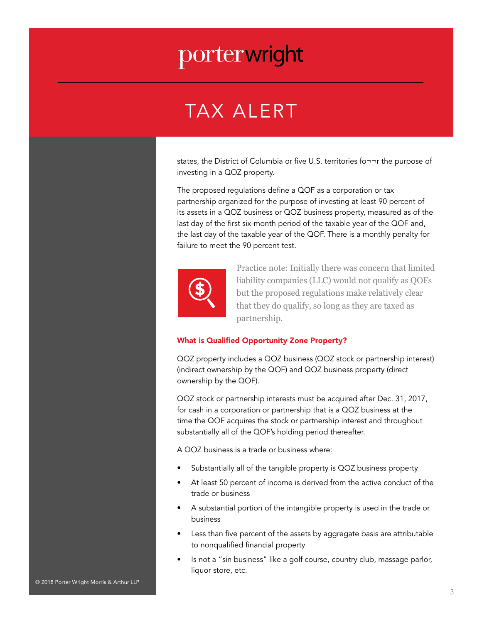### TAX ALERT

states, the District of Columbia or five U.S. territories fo¬¬r the purpose of investing in a QOZ property.

The proposed regulations define a QOF as a corporation or tax partnership organized for the purpose of investing at least 90 percent of its assets in a QOZ business or QOZ business property, measured as of the last day of the first six-month period of the taxable year of the QOF and, the last day of the taxable year of the QOF. There is a monthly penalty for failure to meet the 90 percent test.



Practice note: Initially there was concern that limited liability companies (LLC) would not qualify as QOFs but the proposed regulations make relatively clear that they do qualify, so long as they are taxed as partnership.

#### What is Qualified Opportunity Zone Property?

QOZ property includes a QOZ business (QOZ stock or partnership interest) (indirect ownership by the QOF) and QOZ business property (direct ownership by the QOF).

QOZ stock or partnership interests must be acquired after Dec. 31, 2017, for cash in a corporation or partnership that is a QOZ business at the time the QOF acquires the stock or partnership interest and throughout substantially all of the QOF's holding period thereafter.

A QOZ business is a trade or business where:

- Substantially all of the tangible property is QOZ business property
- At least 50 percent of income is derived from the active conduct of the trade or business
- A substantial portion of the intangible property is used in the trade or business
- Less than five percent of the assets by aggregate basis are attributable to nonqualified financial property
- Is not a "sin business" like a golf course, country club, massage parlor, liquor store, etc.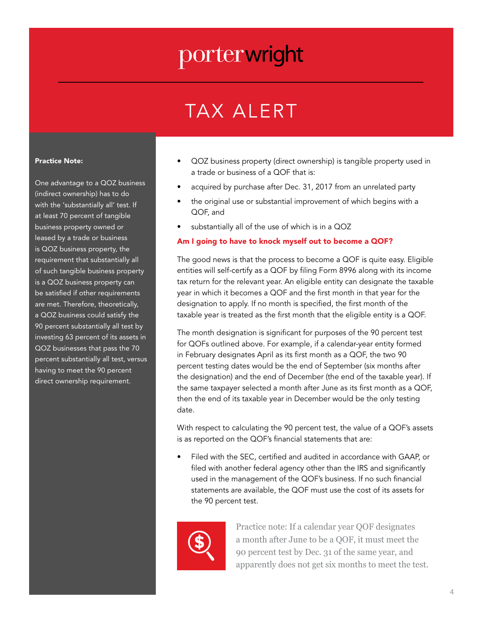# TAX ALERT

#### Practice Note:

One advantage to a QOZ business (indirect ownership) has to do with the 'substantially all' test. If at least 70 percent of tangible business property owned or leased by a trade or business is QOZ business property, the requirement that substantially all of such tangible business property is a QOZ business property can be satisfied if other requirements are met. Therefore, theoretically, a QOZ business could satisfy the 90 percent substantially all test by investing 63 percent of its assets in QOZ businesses that pass the 70 percent substantially all test, versus having to meet the 90 percent direct ownership requirement.

- QOZ business property (direct ownership) is tangible property used in a trade or business of a QOF that is:
- acquired by purchase after Dec. 31, 2017 from an unrelated party
- the original use or substantial improvement of which begins with a QOF, and
- substantially all of the use of which is in a  $QOZ$

#### Am I going to have to knock myself out to become a QOF?

The good news is that the process to become a QOF is quite easy. Eligible entities will self-certify as a QOF by filing Form 8996 along with its income tax return for the relevant year. An eligible entity can designate the taxable year in which it becomes a QOF and the first month in that year for the designation to apply. If no month is specified, the first month of the taxable year is treated as the first month that the eligible entity is a QOF.

The month designation is significant for purposes of the 90 percent test for QOFs outlined above. For example, if a calendar-year entity formed in February designates April as its first month as a QOF, the two 90 percent testing dates would be the end of September (six months after the designation) and the end of December (the end of the taxable year). If the same taxpayer selected a month after June as its first month as a QOF, then the end of its taxable year in December would be the only testing date.

With respect to calculating the 90 percent test, the value of a QOF's assets is as reported on the QOF's financial statements that are:

• Filed with the SEC, certified and audited in accordance with GAAP, or filed with another federal agency other than the IRS and significantly used in the management of the QOF's business. If no such financial statements are available, the QOF must use the cost of its assets for the 90 percent test.



Practice note: If a calendar year QOF designates a month after June to be a QOF, it must meet the 90 percent test by Dec. 31 of the same year, and apparently does not get six months to meet the test.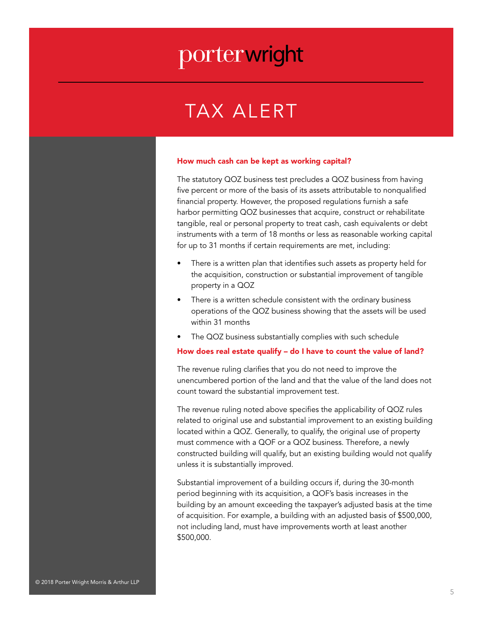### TAX ALERT

#### How much cash can be kept as working capital?

The statutory QOZ business test precludes a QOZ business from having five percent or more of the basis of its assets attributable to nonqualified financial property. However, the proposed regulations furnish a safe harbor permitting QOZ businesses that acquire, construct or rehabilitate tangible, real or personal property to treat cash, cash equivalents or debt instruments with a term of 18 months or less as reasonable working capital for up to 31 months if certain requirements are met, including:

- There is a written plan that identifies such assets as property held for the acquisition, construction or substantial improvement of tangible property in a QOZ
- There is a written schedule consistent with the ordinary business operations of the QOZ business showing that the assets will be used within 31 months
- The QOZ business substantially complies with such schedule

#### How does real estate qualify – do I have to count the value of land?

The revenue ruling clarifies that you do not need to improve the unencumbered portion of the land and that the value of the land does not count toward the substantial improvement test.

The revenue ruling noted above specifies the applicability of QOZ rules related to original use and substantial improvement to an existing building located within a QOZ. Generally, to qualify, the original use of property must commence with a QOF or a QOZ business. Therefore, a newly constructed building will qualify, but an existing building would not qualify unless it is substantially improved.

Substantial improvement of a building occurs if, during the 30-month period beginning with its acquisition, a QOF's basis increases in the building by an amount exceeding the taxpayer's adjusted basis at the time of acquisition. For example, a building with an adjusted basis of \$500,000, not including land, must have improvements worth at least another \$500,000.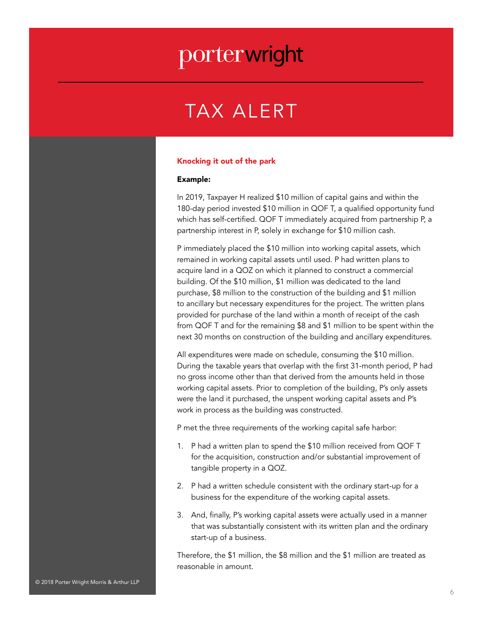### TAX ALERT

#### Knocking it out of the park

#### Example:

In 2019, Taxpayer H realized \$10 million of capital gains and within the 180-day period invested \$10 million in QOF T, a qualified opportunity fund which has self-certified. QOF T immediately acquired from partnership P, a partnership interest in P, solely in exchange for \$10 million cash.

P immediately placed the \$10 million into working capital assets, which remained in working capital assets until used. P had written plans to acquire land in a QOZ on which it planned to construct a commercial building. Of the \$10 million, \$1 million was dedicated to the land purchase, \$8 million to the construction of the building and \$1 million to ancillary but necessary expenditures for the project. The written plans provided for purchase of the land within a month of receipt of the cash from QOF T and for the remaining \$8 and \$1 million to be spent within the next 30 months on construction of the building and ancillary expenditures.

All expenditures were made on schedule, consuming the \$10 million. During the taxable years that overlap with the first 31-month period, P had no gross income other than that derived from the amounts held in those working capital assets. Prior to completion of the building, P's only assets were the land it purchased, the unspent working capital assets and P's work in process as the building was constructed.

P met the three requirements of the working capital safe harbor:

- 1. P had a written plan to spend the \$10 million received from QOF T for the acquisition, construction and/or substantial improvement of tangible property in a QOZ.
- 2. P had a written schedule consistent with the ordinary start-up for a business for the expenditure of the working capital assets.
- 3. And, finally, P's working capital assets were actually used in a manner that was substantially consistent with its written plan and the ordinary start-up of a business.

Therefore, the \$1 million, the \$8 million and the \$1 million are treated as reasonable in amount.